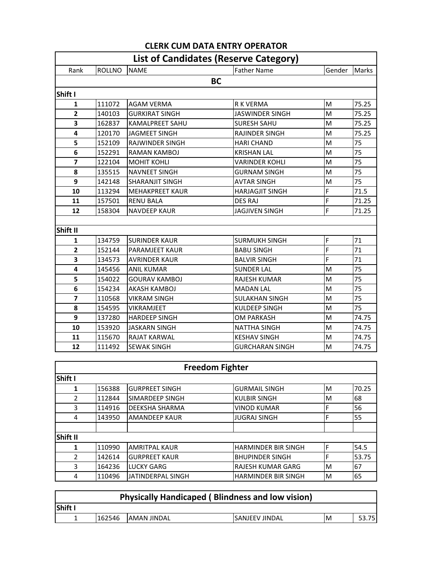|                | <b>List of Candidates (Reserve Category)</b> |                        |                        |        |       |  |  |  |
|----------------|----------------------------------------------|------------------------|------------------------|--------|-------|--|--|--|
| Rank           | <b>ROLLNO</b>                                | <b>NAME</b>            | <b>Father Name</b>     | Gender | Marks |  |  |  |
| <b>BC</b>      |                                              |                        |                        |        |       |  |  |  |
| Shift I        |                                              |                        |                        |        |       |  |  |  |
| 1              | 111072                                       | <b>AGAM VERMA</b>      | <b>R K VERMA</b>       | M      | 75.25 |  |  |  |
| $\mathbf{2}$   | 140103                                       | <b>GURKIRAT SINGH</b>  | <b>JASWINDER SINGH</b> | M      | 75.25 |  |  |  |
| 3              | 162837                                       | <b>KAMALPREET SAHU</b> | <b>SURESH SAHU</b>     | M      | 75.25 |  |  |  |
| 4              | 120170                                       | JAGMEET SINGH          | <b>RAJINDER SINGH</b>  | M      | 75.25 |  |  |  |
| 5              | 152109                                       | <b>RAJWINDER SINGH</b> | <b>HARI CHAND</b>      | M      | 75    |  |  |  |
| 6              | 152291                                       | <b>RAMAN KAMBOJ</b>    | <b>KRISHAN LAL</b>     | M      | 75    |  |  |  |
| $\overline{7}$ | 122104                                       | <b>MOHIT KOHLI</b>     | <b>VARINDER KOHLI</b>  | M      | 75    |  |  |  |
| 8              | 135515                                       | <b>NAVNEET SINGH</b>   | <b>GURNAM SINGH</b>    | M      | 75    |  |  |  |
| 9              | 142148                                       | <b>SHARANJIT SINGH</b> | <b>AVTAR SINGH</b>     | M      | 75    |  |  |  |
| 10             | 113294                                       | <b>MEHAKPREET KAUR</b> | <b>HARJAGJIT SINGH</b> | F      | 71.5  |  |  |  |
| 11             | 157501                                       | <b>RENU BALA</b>       | <b>DES RAJ</b>         | F      | 71.25 |  |  |  |
| 12             | 158304                                       | <b>NAVDEEP KAUR</b>    | <b>JAGJIVEN SINGH</b>  | F      | 71.25 |  |  |  |
|                |                                              |                        |                        |        |       |  |  |  |
| Shift II       |                                              |                        |                        |        |       |  |  |  |
| 1              | 134759                                       | <b>SURINDER KAUR</b>   | <b>SURMUKH SINGH</b>   | F      | 71    |  |  |  |
| $\overline{2}$ | 152144                                       | <b>PARAMJEET KAUR</b>  | <b>BABU SINGH</b>      | F      | 71    |  |  |  |
| 3              | 134573                                       | <b>AVRINDER KAUR</b>   | <b>BALVIR SINGH</b>    | F      | 71    |  |  |  |
| 4              | 145456                                       | <b>ANIL KUMAR</b>      | <b>SUNDER LAL</b>      | M      | 75    |  |  |  |
| 5              | 154022                                       | <b>GOURAV KAMBOJ</b>   | <b>RAJESH KUMAR</b>    | M      | 75    |  |  |  |
| 6              | 154234                                       | <b>AKASH KAMBOJ</b>    | <b>MADAN LAL</b>       | M      | 75    |  |  |  |
| $\overline{7}$ | 110568                                       | <b>VIKRAM SINGH</b>    | <b>SULAKHAN SINGH</b>  | M      | 75    |  |  |  |
| 8              | 154595                                       | VIKRAMJEET             | KULDEEP SINGH          | M      | 75    |  |  |  |
| 9              | 137280                                       | <b>HARDEEP SINGH</b>   | <b>OM PARKASH</b>      | M      | 74.75 |  |  |  |
| 10             | 153920                                       | JASKARN SINGH          | <b>NATTHA SINGH</b>    | M      | 74.75 |  |  |  |
| 11             | 115670                                       | <b>RAJAT KARWAL</b>    | <b>KESHAV SINGH</b>    | M      | 74.75 |  |  |  |
| 12             | 111492                                       | <b>SEWAK SINGH</b>     | <b>GURCHARAN SINGH</b> | M      | 74.75 |  |  |  |

## **CLERK CUM DATA ENTRY OPERATOR**

⅂

 $\Gamma$ 

|               | <b>Freedom Fighter</b> |                       |                            |   |       |  |  |  |
|---------------|------------------------|-----------------------|----------------------------|---|-------|--|--|--|
| Shift I       |                        |                       |                            |   |       |  |  |  |
| 1             | 156388                 | <b>GURPREET SINGH</b> | <b>GURMAIL SINGH</b>       | М | 70.25 |  |  |  |
| $\mathcal{P}$ | 112844                 | SIMARDEEP SINGH       | <b>KULBIR SINGH</b>        | м | 68    |  |  |  |
| 3             | 114916                 | DEEKSHA SHARMA        | <b>VINOD KUMAR</b>         | F | 56    |  |  |  |
| 4             | 143950                 | <b>AMANDEEP KAUR</b>  | <b>JUGRAJ SINGH</b>        | F | 55    |  |  |  |
|               |                        |                       |                            |   |       |  |  |  |
| Shift II      |                        |                       |                            |   |       |  |  |  |
| 1             | 110990                 | <b>AMRITPAL KAUR</b>  | <b>HARMINDER BIR SINGH</b> | F | 54.5  |  |  |  |
| $\mathcal{P}$ | 142614                 | <b>GURPREET KAUR</b>  | <b>BHUPINDER SINGH</b>     | F | 53.75 |  |  |  |
| 3             | 164236                 | <b>LUCKY GARG</b>     | <b>RAJESH KUMAR GARG</b>   | M | 67    |  |  |  |
| 4             | 110496                 | JATINDERPAL SINGH     | <b>HARMINDER BIR SINGH</b> | M | 65    |  |  |  |

| <b>Physically Handicaped (Blindness and low vision)</b> |        |              |                        |    |       |  |  |
|---------------------------------------------------------|--------|--------------|------------------------|----|-------|--|--|
| lShift I                                                |        |              |                        |    |       |  |  |
|                                                         | 162546 | IAMAN JINDAL | <b>ISANJEEV JINDAL</b> | ΙM | 53.75 |  |  |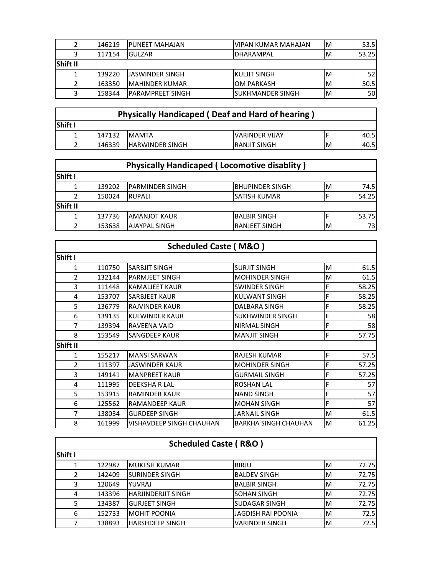|                 | 146219 | <b>IPUNEET MAHAJAN</b>   | IVIPAN KUMAR MAHAJAN      | ΙM | 53.5  |
|-----------------|--------|--------------------------|---------------------------|----|-------|
|                 | 117154 | <b>IGULZAR</b>           | <b>IDHARAMPAL</b>         | ΙM | 53.25 |
| <b>Shift II</b> |        |                          |                           |    |       |
|                 | 139220 | <b>JASWINDER SINGH</b>   | IKULJIT SINGH             | ΙM | 52    |
|                 | 163350 | <b>IMAHINDER KUMAR</b>   | IOM PARKASH               | M  | 50.5  |
|                 | 158344 | <b>IPARAMPREET SINGH</b> | <b>I</b> SUKHMANDER SINGH | ΙM | 50I   |

| <b>Physically Handicaped (Deaf and Hard of hearing)</b> |        |                        |                       |   |      |  |  |  |
|---------------------------------------------------------|--------|------------------------|-----------------------|---|------|--|--|--|
| <b>Shift I</b>                                          |        |                        |                       |   |      |  |  |  |
|                                                         | 147132 | <b>IMAMTA</b>          | <b>VARINDER VIJAY</b> |   | 40.5 |  |  |  |
|                                                         | 146339 | <b>HARWINDER SINGH</b> | <b>IRANJIT SINGH</b>  | M | 40.5 |  |  |  |

|                | <b>Physically Handicaped (Locomotive disablity)</b> |                         |                      |   |       |  |  |  |
|----------------|-----------------------------------------------------|-------------------------|----------------------|---|-------|--|--|--|
| <b>Shift I</b> |                                                     |                         |                      |   |       |  |  |  |
|                | 139202                                              | <b>IPARMINDER SINGH</b> | BHUPINDER SINGH      | M | 74.5I |  |  |  |
|                | 150024                                              | <b>IRUPALI</b>          | <b>SATISH KUMAR</b>  |   | 54.25 |  |  |  |
| Shift II       |                                                     |                         |                      |   |       |  |  |  |
|                | 137736                                              | <b>IAMANJOT KAUR</b>    | <b>BALBIR SINGH</b>  |   | 53.75 |  |  |  |
| 2              | 153638                                              | <b>AJAYPAL SINGH</b>    | <b>RANJEET SINGH</b> | M | 73I   |  |  |  |

|                |        | <b>Scheduled Caste (M&amp;O)</b> |                             |   |       |
|----------------|--------|----------------------------------|-----------------------------|---|-------|
| Shift I        |        |                                  |                             |   |       |
| 1              | 110750 | <b>SARBJIT SINGH</b>             | <b>SURJIT SINGH</b>         | M | 61.5  |
| $\mathcal{P}$  | 132144 | <b>PARMJEET SINGH</b>            | <b>MOHINDER SINGH</b>       | M | 61.5  |
| 3              | 111448 | <b>KAMALIEET KAUR</b>            | <b>SWINDER SINGH</b>        | F | 58.25 |
| 4              | 153707 | <b>SARBJEET KAUR</b>             | <b>KULWANT SINGH</b>        | F | 58.25 |
| 5              | 136779 | <b>RAJVINDER KAUR</b>            | DALBARA SINGH               | F | 58.25 |
| 6              | 139135 | <b>KULWINDER KAUR</b>            | <b>SUKHWINDER SINGH</b>     | F | 58    |
| $\overline{7}$ | 139394 | <b>RAVEENA VAID</b>              | NIRMAL SINGH                | F | 58    |
| 8              | 153549 | <b>SANGDEEP KAUR</b>             | <b>MANJIT SINGH</b>         | F | 57.75 |
| Shift II       |        |                                  |                             |   |       |
| 1              | 155217 | <b>MANSI SARWAN</b>              | <b>RAJESH KUMAR</b>         | F | 57.5  |
| $\mathcal{P}$  | 111397 | JASWINDER KAUR                   | <b>MOHINDER SINGH</b>       | F | 57.25 |
| 3              | 149141 | IMANPREET KAUR                   | <b>GURMAIL SINGH</b>        | F | 57.25 |
| 4              | 111995 | <b>DEEKSHA R LAL</b>             | <b>ROSHAN LAL</b>           | F | 57    |
| 5              | 153915 | <b>RAMINDER KAUR</b>             | <b>NAND SINGH</b>           | F | 57    |
| 6              | 125562 | <b>RAMANDEEP KAUR</b>            | <b>MOHAN SINGH</b>          | F | 57    |
| $\overline{7}$ | 138034 | <b>GURDEEP SINGH</b>             | <b>JARNAIL SINGH</b>        | M | 61.5  |
| 8              | 161999 | VISHAVDEEP SINGH CHAUHAN         | <b>BARKHA SINGH CHAUHAN</b> | M | 61.25 |

| <b>Scheduled Caste (R&amp;O)</b> |        |                           |                           |    |       |  |  |
|----------------------------------|--------|---------------------------|---------------------------|----|-------|--|--|
| Shift I                          |        |                           |                           |    |       |  |  |
| 1                                | 122987 | <b>IMUKESH KUMAR</b>      | <b>BIRJU</b>              | M  | 72.75 |  |  |
| $\mathcal{P}$                    | 142409 | <b>ISURINDER SINGH</b>    | <b>BALDEV SINGH</b>       | M  | 72.75 |  |  |
| 3                                | 120649 | YUVRAJ                    | <b>BALBIR SINGH</b>       | M  | 72.75 |  |  |
| 4                                | 143396 | <b>HARJINDERJIT SINGH</b> | <b>SOHAN SINGH</b>        | M  | 72.75 |  |  |
| 5                                | 134387 | <b>GURJEET SINGH</b>      | <b>SUDAGAR SINGH</b>      | M  | 72.75 |  |  |
| 6                                | 152733 | <b>MOHIT POONIA</b>       | <b>JAGDISH RAI POONIA</b> | M  | 72.5  |  |  |
|                                  | 138893 | <b>HARSHDEEP SINGH</b>    | <b>VARINDER SINGH</b>     | ΙM | 72.5  |  |  |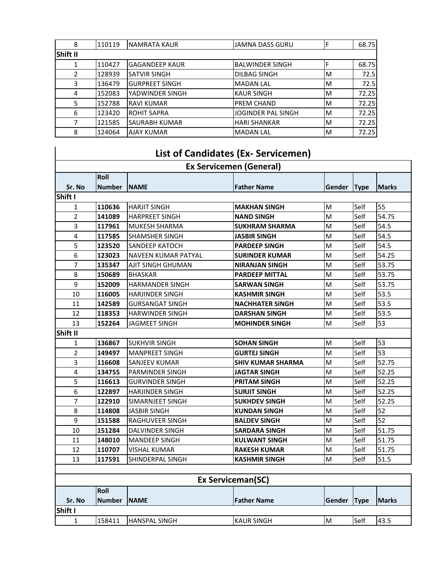| 8        | 110119 | INAMRATA KAUR         | JAMNA DASS GURU           |   | 68.75 |
|----------|--------|-----------------------|---------------------------|---|-------|
| Shift II |        |                       |                           |   |       |
|          | 110427 | <b>GAGANDEEP KAUR</b> | <b>BALWINDER SINGH</b>    |   | 68.75 |
| 2        | 128939 | <b>SATVIR SINGH</b>   | <b>DILBAG SINGH</b>       | M | 72.5  |
| 3        | 136479 | <b>GURPREET SINGH</b> | <b>MADAN LAL</b>          | M | 72.5  |
| 4        | 152083 | YADWINDER SINGH       | <b>KAUR SINGH</b>         | M | 72.25 |
| 5        | 152788 | <b>RAVI KUMAR</b>     | PREM CHAND                | M | 72.25 |
| 6        | 123420 | <b>ROHIT SAPRA</b>    | <b>JOGINDER PAL SINGH</b> | M | 72.25 |
|          | 121585 | <b>SAURABH KUMAR</b>  | <b>HARI SHANKAR</b>       | M | 72.25 |
| 8        | 124064 | <b>AJAY KUMAR</b>     | <b>MADAN LAL</b>          | M | 72.25 |

## **List of Candidates (Ex- Servicemen)**

| <b>Ex Servicemen (General)</b> |               |                            |                          |               |             |              |
|--------------------------------|---------------|----------------------------|--------------------------|---------------|-------------|--------------|
|                                | Roll          |                            |                          |               |             |              |
| Sr. No                         | <b>Number</b> | <b>NAME</b>                | <b>Father Name</b>       | Gender        | <b>Type</b> | <b>Marks</b> |
| Shift I                        |               |                            |                          |               |             |              |
| 1                              | 110636        | <b>HARJIT SINGH</b>        | <b>MAKHAN SINGH</b>      | M             | Self        | 55           |
| 2                              | 141089        | <b>HARPREET SINGH</b>      | <b>NAND SINGH</b>        | M             | Self        | 54.75        |
| 3                              | 117961        | <b>MUKESH SHARMA</b>       | <b>SUKHRAM SHARMA</b>    | M             | Self        | 54.5         |
| 4                              | 117585        | <b>SHAMSHER SINGH</b>      | <b>JASBIR SINGH</b>      | M             | Self        | 54.5         |
| 5                              | 123520        | <b>SANDEEP KATOCH</b>      | <b>PARDEEP SINGH</b>     | M             | Self        | 54.5         |
| 6                              | 123023        | <b>NAVEEN KUMAR PATYAL</b> | <b>SURINDER KUMAR</b>    | M             | Self        | 54.25        |
| 7                              | 135347        | AJIT SINGH GHUMAN          | <b>NIRANJAN SINGH</b>    | M             | Self        | 53.75        |
| 8                              | 150689        | <b>BHASKAR</b>             | <b>PARDEEP MITTAL</b>    | M             | Self        | 53.75        |
| 9                              | 152009        | <b>HARMANDER SINGH</b>     | <b>SARWAN SINGH</b>      | M             | Self        | 53.75        |
| 10                             | 116005        | <b>HARJINDER SINGH</b>     | <b>KASHMIR SINGH</b>     | M             | Self        | 53.5         |
| 11                             | 142589        | GURSANGAT SINGH            | <b>NACHHATER SINGH</b>   | M             | Self        | 53.5         |
| 12                             | 118353        | <b>HARWINDER SINGH</b>     | <b>DARSHAN SINGH</b>     | M             | Self        | 53.5         |
| 13                             | 152264        | <b>JAGMEET SINGH</b>       | <b>MOHINDER SINGH</b>    | M             | Self        | 53           |
| <b>Shift II</b>                |               |                            |                          |               |             |              |
| 1                              | 136867        | <b>SUKHVIR SINGH</b>       | <b>SOHAN SINGH</b>       | M             | Self        | 53           |
| $\overline{2}$                 | 149497        | <b>MANPREET SINGH</b>      | <b>GURTEJ SINGH</b>      | M             | Self        | 53           |
| 3                              | 116608        | SANJEEV KUMAR              | <b>SHIV KUMAR SHARMA</b> | M             | Self        | 52.75        |
| 4                              | 134755        | <b>PARMINDER SINGH</b>     | <b>JAGTAR SINGH</b>      | M             | Self        | 52.25        |
| 5                              | 116613        | <b>GURVINDER SINGH</b>     | <b>PRITAM SINGH</b>      | M             | Self        | 52.25        |
| 6                              | 122897        | <b>HARJINDER SINGH</b>     | <b>SURJIT SINGH</b>      | M             | Self        | 52.25        |
| 7                              | 122910        | SIMARNJEET SINGH           | <b>SUKHDEV SINGH</b>     | M             | Self        | 52.25        |
| 8                              | 114808        | <b>JASBIR SINGH</b>        | <b>KUNDAN SINGH</b>      | M             | Self        | 52           |
| 9                              | 151588        | RAGHUVEER SINGH            | <b>BALDEV SINGH</b>      | M             | Self        | 52           |
| 10                             | 151284        | <b>DALVINDER SINGH</b>     | <b>SARDARA SINGH</b>     | M             | Self        | 51.75        |
| 11                             | 148010        | <b>MANDEEP SINGH</b>       | <b>KULWANT SINGH</b>     | M             | Self        | 51.75        |
| 12                             | 110707        | <b>VISHAL KUMAR</b>        | <b>RAKESH KUMAR</b>      | M             | Self        | 51.75        |
| 13                             | 117591        | SHINDERPAL SINGH           | <b>KASHMIR SINGH</b>     | M             | Self        | 51.5         |
|                                |               |                            |                          |               |             |              |
|                                |               |                            | <b>Ex Serviceman(SC)</b> |               |             |              |
|                                | <b>Roll</b>   |                            |                          |               |             |              |
| Sr. No                         | <b>Number</b> | <b>INAME</b>               | <b>Father Name</b>       | Gender   Type |             | <b>Marks</b> |

1 |158411 |HANSPAL SINGH |KAUR SINGH |M |Self |43.5

**Shift I**

 $\overline{\phantom{a}}$